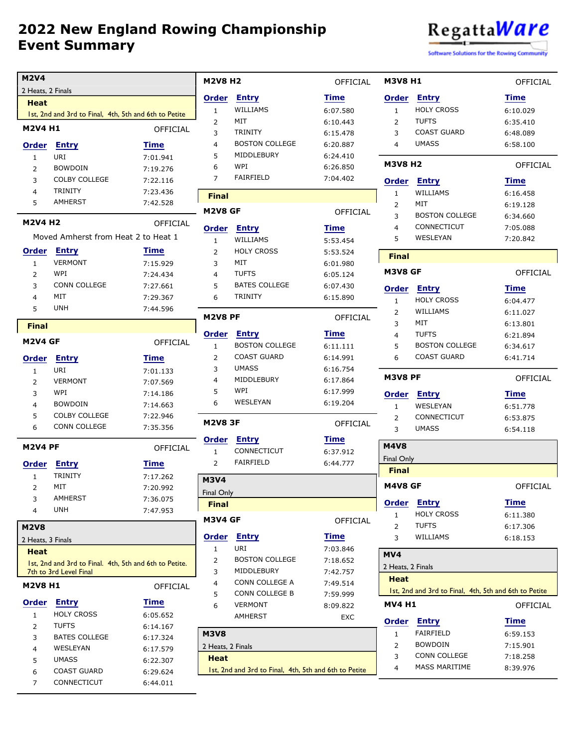

Software Solutions for the Rowing Community

OFFICIAL

OFFICIAL

OFFICIAL

OFFICIAL

OFFICIAL

OFFICIAL

| <b>M2V4</b>         |                                                        |                      | <b>M2V8 H2</b>    |                                                       | OFFICIAL        | <b>M3V8 H1</b>          |                                                       | OFFICIA  |
|---------------------|--------------------------------------------------------|----------------------|-------------------|-------------------------------------------------------|-----------------|-------------------------|-------------------------------------------------------|----------|
| 2 Heats, 2 Finals   |                                                        |                      |                   |                                                       |                 |                         |                                                       |          |
| <b>Heat</b>         |                                                        |                      | <b>Order</b>      | <b>Entry</b>                                          | <b>Time</b>     | <b>Order</b>            | <b>Entry</b>                                          | Time     |
|                     | 1st, 2nd and 3rd to Final, 4th, 5th and 6th to Petite  |                      | $\mathbf{1}$      | WILLIAMS                                              | 6:07.580        | $\mathbf{1}$            | <b>HOLY CROSS</b>                                     | 6:10.029 |
| <b>M2V4 H1</b>      |                                                        | OFFICIAL             | $\overline{2}$    | MIT                                                   | 6:10.443        | $\overline{2}$          | <b>TUFTS</b>                                          | 6:35.410 |
|                     |                                                        |                      | 3                 | <b>TRINITY</b>                                        | 6:15.478        | 3                       | <b>COAST GUARD</b>                                    | 6:48.089 |
| <b>Order</b>        | <b>Entry</b>                                           | Time                 | $\overline{4}$    | <b>BOSTON COLLEGE</b>                                 | 6:20.887        | $\overline{4}$          | <b>UMASS</b>                                          | 6:58.100 |
| $\mathbf{1}$        | URI                                                    | 7:01.941             | 5                 | MIDDLEBURY                                            | 6:24.410        | <b>M3V8 H2</b>          |                                                       |          |
| $\overline{2}$      | <b>BOWDOIN</b>                                         | 7:19.276             | 6                 | WPI                                                   | 6:26.850        |                         |                                                       | OFFICIA  |
| 3                   | <b>COLBY COLLEGE</b>                                   | 7:22.116             | $\overline{7}$    | <b>FAIRFIELD</b>                                      | 7:04.402        | <b>Order</b>            | <b>Entry</b>                                          | Time     |
| 4                   | <b>TRINITY</b>                                         | 7:23.436             | <b>Final</b>      |                                                       |                 | $\mathbf{1}$            | WILLIAMS                                              | 6:16.458 |
| 5                   | <b>AMHERST</b>                                         | 7:42.528             | M2V8 GF           |                                                       | <b>OFFICIAL</b> | $\overline{2}$          | MIT                                                   | 6:19.128 |
| <b>M2V4 H2</b>      |                                                        | <b>OFFICIAL</b>      |                   |                                                       |                 | 3                       | <b>BOSTON COLLEGE</b>                                 | 6:34.660 |
|                     | Moved Amherst from Heat 2 to Heat 1                    |                      | <b>Order</b>      | <b>Entry</b>                                          | <b>Time</b>     | $\overline{\mathbf{4}}$ | CONNECTICUT                                           | 7:05.088 |
|                     |                                                        |                      | $\mathbf{1}$      | WILLIAMS                                              | 5:53.454        | 5                       | WESLEYAN                                              | 7:20.842 |
| <b>Order</b>        | <b>Entry</b>                                           | Time                 | $\overline{2}$    | <b>HOLY CROSS</b>                                     | 5:53.524        | <b>Final</b>            |                                                       |          |
| $\mathbf{1}$        | <b>VERMONT</b>                                         | 7:15.929             | 3                 | MIT                                                   | 6:01.980        | M3V8 GF                 |                                                       | OFFICIA  |
| 2                   | WPI                                                    | 7:24.434             | $\overline{4}$    | <b>TUFTS</b>                                          | 6:05.124        |                         |                                                       |          |
| 3                   | <b>CONN COLLEGE</b>                                    | 7:27.661             | 5                 | <b>BATES COLLEGE</b>                                  | 6:07.430        | <b>Order</b>            | <b>Entry</b>                                          | Time     |
| 4                   | MIT                                                    | 7:29.367             | 6                 | <b>TRINITY</b>                                        | 6:15.890        | $\mathbf{1}$            | <b>HOLY CROSS</b>                                     | 6:04.477 |
| 5                   | <b>UNH</b>                                             | 7:44.596             | <b>M2V8 PF</b>    |                                                       | OFFICIAL        | $\overline{2}$          | WILLIAMS                                              | 6:11.027 |
| <b>Final</b>        |                                                        |                      |                   |                                                       |                 | 3                       | MIT                                                   | 6:13.801 |
|                     |                                                        |                      | <b>Order</b>      | <b>Entry</b>                                          | <b>Time</b>     | $\overline{4}$          | <b>TUFTS</b>                                          | 6:21.894 |
| <b>M2V4 GF</b>      |                                                        | OFFICIAL             | $\mathbf{1}$      | <b>BOSTON COLLEGE</b>                                 | 6:11.111        | 5                       | <b>BOSTON COLLEGE</b>                                 | 6:34.617 |
| <b>Order</b>        | <b>Entry</b>                                           | <b>Time</b>          | 2                 | <b>COAST GUARD</b>                                    | 6:14.991        | 6                       | <b>COAST GUARD</b>                                    | 6:41.714 |
| $\mathbf{1}$        | URI                                                    | 7:01.133             | 3                 | <b>UMASS</b>                                          | 6:16.754        |                         |                                                       |          |
| 2                   | <b>VERMONT</b>                                         | 7:07.569             | $\overline{4}$    | MIDDLEBURY                                            | 6:17.864        | <b>M3V8 PF</b>          |                                                       | OFFICIA  |
| 3                   | WPI                                                    | 7:14.186             | 5                 | WPI                                                   | 6:17.999        | <b>Order</b>            | Entry                                                 | Time     |
| 4                   | <b>BOWDOIN</b>                                         | 7:14.663             | 6                 | WESLEYAN                                              | 6:19.204        | $\mathbf{1}$            | WESLEYAN                                              | 6:51.778 |
| 5                   | <b>COLBY COLLEGE</b>                                   | 7:22.946             |                   |                                                       |                 | 2                       | CONNECTICUT                                           | 6:53.875 |
| 6                   | CONN COLLEGE                                           | 7:35.356             | <b>M2V8 3F</b>    |                                                       | <b>OFFICIAL</b> | 3                       | <b>UMASS</b>                                          | 6:54.118 |
| <b>M2V4 PF</b>      |                                                        | OFFICIAL             | Order             | <b>Entry</b>                                          | <b>Time</b>     | <b>M4V8</b>             |                                                       |          |
|                     |                                                        |                      | $\mathbf{1}$      | CONNECTICUT                                           | 6:37.912        | <b>Final Only</b>       |                                                       |          |
|                     | Order Entry                                            | Time                 | 2                 | <b>FAIRFIELD</b>                                      | 6:44.777        | <b>Final</b>            |                                                       |          |
| $\mathbf{1}$        | <b>TRINITY</b>                                         | 7:17.262             | <b>M3V4</b>       |                                                       |                 |                         |                                                       |          |
| 2                   | MIT                                                    | 7:20.992             | Final Only        |                                                       |                 | M4V8 GF                 |                                                       | OFFICIA  |
| 3                   | <b>AMHERST</b>                                         | 7:36.075             | <b>Final</b>      |                                                       |                 | <b>Order</b>            | <b>Entry</b>                                          | Time     |
| 4                   | <b>UNH</b>                                             | 7:47.953             |                   |                                                       |                 | $\mathbf{1}$            | <b>HOLY CROSS</b>                                     | 6:11.380 |
| <b>M2V8</b>         |                                                        |                      | M3V4 GF           |                                                       | OFFICIAL        | 2                       | <b>TUFTS</b>                                          | 6:17.306 |
| 2 Heats, 3 Finals   |                                                        |                      | Order             | <b>Entry</b>                                          | <b>Time</b>     | 3                       | WILLIAMS                                              | 6:18.153 |
| <b>Heat</b>         |                                                        |                      | $\mathbf{1}$      | URI                                                   | 7:03.846        |                         |                                                       |          |
|                     | 1st, 2nd and 3rd to Final. 4th, 5th and 6th to Petite. |                      | $\overline{2}$    | <b>BOSTON COLLEGE</b>                                 | 7:18.652        | MV4                     |                                                       |          |
|                     | 7th to 3rd Level Final                                 |                      | 3                 | MIDDLEBURY                                            | 7:42.757        | 2 Heats, 2 Finals       |                                                       |          |
| <b>M2V8 H1</b>      |                                                        | <b>OFFICIAL</b>      | 4                 | CONN COLLEGE A                                        | 7:49.514        | <b>Heat</b>             |                                                       |          |
|                     |                                                        |                      | 5                 | CONN COLLEGE B                                        | 7:59.999        |                         | 1st, 2nd and 3rd to Final, 4th, 5th and 6th to Petite |          |
| <b>Order</b>        | <b>Entry</b>                                           | Time                 | 6                 | <b>VERMONT</b>                                        | 8:09.822        | <b>MV4 H1</b>           |                                                       | OFFICIA  |
| $\mathbf{1}$        | <b>HOLY CROSS</b>                                      | 6:05.652             |                   | AMHERST                                               | EXC             | <b>Order</b>            | <b>Entry</b>                                          | Time     |
| 2                   | <b>TUFTS</b>                                           | 6:14.167             | <b>M3V8</b>       |                                                       |                 | $\mathbf{1}$            | FAIRFIELD                                             | 6:59.153 |
| 3                   | <b>BATES COLLEGE</b>                                   | 6:17.324             | 2 Heats, 2 Finals |                                                       |                 | $\overline{2}$          | <b>BOWDOIN</b>                                        | 7:15.901 |
| 4                   | WESLEYAN                                               | 6:17.579             | <b>Heat</b>       |                                                       |                 | 3                       | CONN COLLEGE                                          | 7:18.258 |
|                     | <b>UMASS</b>                                           | 6:22.307             |                   |                                                       |                 | 4                       | <b>MASS MARITIME</b>                                  | 8:39.976 |
| 5                   |                                                        |                      |                   |                                                       |                 |                         |                                                       |          |
| 6<br>$\overline{7}$ | <b>COAST GUARD</b><br>CONNECTICUT                      | 6:29.624<br>6:44.011 |                   | 1st, 2nd and 3rd to Final, 4th, 5th and 6th to Petite |                 |                         |                                                       |          |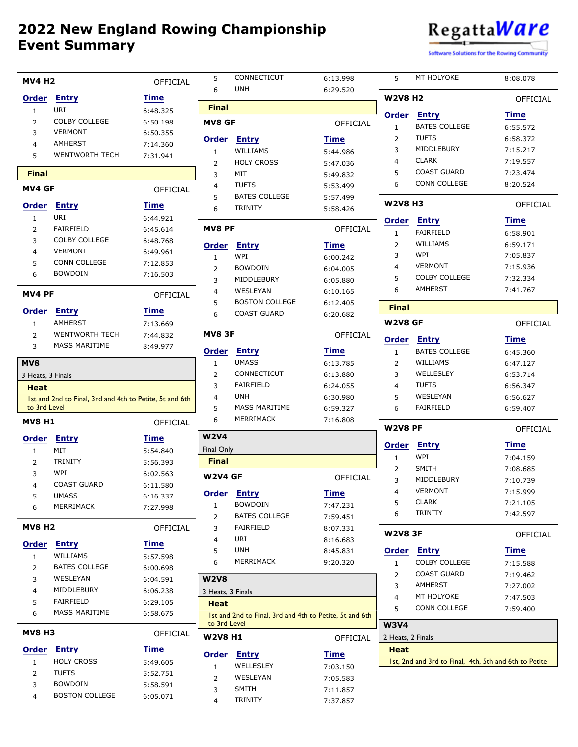

Software Solutions for the Rowing Community

| <b>MV4 H2</b>     |                                                         | OFFICIAL             | 5                 | CONNECTICUT                                             | 6:13.998             | 5                 | MT HOLYOKE                                            | 8:08.078             |
|-------------------|---------------------------------------------------------|----------------------|-------------------|---------------------------------------------------------|----------------------|-------------------|-------------------------------------------------------|----------------------|
| <b>Order</b>      | <b>Entry</b>                                            | Time                 | 6                 | <b>UNH</b>                                              | 6:29.520             | <b>W2V8 H2</b>    |                                                       |                      |
| $\mathbf{1}$      | URI                                                     | 6:48.325             | <b>Final</b>      |                                                         |                      |                   |                                                       | OFFICIAL             |
| 2                 | <b>COLBY COLLEGE</b>                                    | 6:50.198             | <b>MV8 GF</b>     |                                                         |                      | <b>Order</b>      | <b>Entry</b>                                          | Time                 |
| 3                 | <b>VERMONT</b>                                          | 6:50.355             |                   |                                                         | OFFICIAL             | $\mathbf{1}$      | <b>BATES COLLEGE</b>                                  | 6:55.572             |
| 4                 | <b>AMHERST</b>                                          | 7:14.360             | Order             | <b>Entry</b>                                            | <b>Time</b>          | $\overline{2}$    | <b>TUFTS</b>                                          | 6:58.372             |
| 5                 | WENTWORTH TECH                                          | 7:31.941             | 1                 | WILLIAMS                                                | 5:44.986             | 3                 | MIDDLEBURY                                            | 7:15.217             |
|                   |                                                         |                      | $\overline{2}$    | <b>HOLY CROSS</b>                                       | 5:47.036             | 4                 | <b>CLARK</b>                                          | 7:19.557             |
| <b>Final</b>      |                                                         |                      | 3                 | MIT                                                     | 5:49.832             | 5                 | <b>COAST GUARD</b>                                    | 7:23.474             |
| MV4 GF            |                                                         | OFFICIAL             | 4                 | <b>TUFTS</b>                                            | 5:53.499             | 6                 | CONN COLLEGE                                          | 8:20.524             |
| <b>Order</b>      | <b>Entry</b>                                            | <b>Time</b>          | 5                 | <b>BATES COLLEGE</b>                                    | 5:57.499             | <b>W2V8 H3</b>    |                                                       | OFFICIAL             |
| $\mathbf{1}$      | URI                                                     | 6:44.921             | 6                 | <b>TRINITY</b>                                          | 5:58.426             |                   |                                                       |                      |
| 2                 | FAIRFIELD                                               | 6:45.614             | <b>MV8 PF</b>     |                                                         | OFFICIAL             | <b>Order</b>      | <b>Entry</b>                                          | Time                 |
| 3                 | <b>COLBY COLLEGE</b>                                    | 6:48.768             |                   |                                                         |                      | $\mathbf{1}$      | <b>FAIRFIELD</b>                                      | 6:58.901             |
| 4                 | <b>VERMONT</b>                                          | 6:49.961             | Order             | <b>Entry</b>                                            | <b>Time</b>          | 2                 | WILLIAMS<br>WPI                                       | 6:59.171             |
| 5                 | CONN COLLEGE                                            | 7:12.853             | $\mathbf{1}$      | WPI                                                     | 6:00.242             | 3                 | <b>VERMONT</b>                                        | 7:05.837             |
| 6                 | <b>BOWDOIN</b>                                          | 7:16.503             | 2                 | <b>BOWDOIN</b>                                          | 6:04.005             | $\overline{4}$    | <b>COLBY COLLEGE</b>                                  | 7:15.936             |
|                   |                                                         |                      | 3                 | MIDDLEBURY                                              | 6:05.880             | 5<br>6            | AMHERST                                               | 7:32.334             |
| MV4 PF            |                                                         | OFFICIAL             | 4                 | WESLEYAN<br><b>BOSTON COLLEGE</b>                       | 6:10.165             |                   |                                                       | 7:41.767             |
| <b>Order</b>      | <b>Entry</b>                                            | Time                 | 5<br>6            | <b>COAST GUARD</b>                                      | 6:12.405             | <b>Final</b>      |                                                       |                      |
| $\mathbf{1}$      | <b>AMHERST</b>                                          | 7:13.669             |                   |                                                         | 6:20.682             | <b>W2V8 GF</b>    |                                                       | <b>OFFICIAL</b>      |
| 2                 | <b>WENTWORTH TECH</b>                                   | 7:44.832             | <b>MV83F</b>      |                                                         | <b>OFFICIAL</b>      |                   |                                                       |                      |
| 3                 | <b>MASS MARITIME</b>                                    | 8:49.977             |                   |                                                         |                      | <b>Order</b>      | <b>Entry</b>                                          | Time                 |
|                   |                                                         |                      | Order             | <b>Entry</b>                                            | <b>Time</b>          | $\mathbf{1}$      | <b>BATES COLLEGE</b>                                  | 6:45.360             |
| MV8               |                                                         |                      | $\mathbf{1}$      | <b>UMASS</b>                                            | 6:13.785             | 2                 | WILLIAMS                                              | 6:47.127             |
| 3 Heats, 3 Finals |                                                         |                      | $\overline{2}$    | CONNECTICUT                                             | 6:13.880             | 3                 | WELLESLEY                                             | 6:53.714             |
| <b>Heat</b>       |                                                         |                      | 3                 | <b>FAIRFIELD</b><br><b>UNH</b>                          | 6:24.055             | $\overline{4}$    | <b>TUFTS</b><br>WESLEYAN                              | 6:56.347             |
|                   |                                                         |                      |                   |                                                         |                      |                   |                                                       |                      |
|                   | 1st and 2nd to Final, 3rd and 4th to Petite, 5t and 6th |                      | 4                 |                                                         | 6:30.980             | 5                 |                                                       | 6:56.627             |
| to 3rd Level      |                                                         |                      | 5                 | <b>MASS MARITIME</b>                                    | 6:59.327             | 6                 | FAIRFIELD                                             | 6:59.407             |
| <b>MV8 H1</b>     |                                                         | OFFICIAL             | 6                 | MERRIMACK                                               | 7:16.808             | <b>W2V8 PF</b>    |                                                       | OFFICIAL             |
| <b>Order</b>      | <b>Entry</b>                                            | <b>Time</b>          | <b>W2V4</b>       |                                                         |                      |                   |                                                       |                      |
| $\mathbf{1}$      | MIT                                                     | 5:54.840             | <b>Final Only</b> |                                                         |                      | Order             | <b>Entry</b>                                          | Time                 |
| 2                 | <b>TRINITY</b>                                          | 5:56.393             | <b>Final</b>      |                                                         |                      | $\mathbf{1}$      | WPI                                                   | 7:04.159             |
| 3                 | WPI                                                     | 6:02.563             | <b>W2V4 GF</b>    |                                                         | OFFICIAL             | $\overline{2}$    | <b>SMITH</b><br>MIDDLEBURY                            | 7:08.685             |
| 4                 | <b>COAST GUARD</b>                                      | 6:11.580             |                   |                                                         |                      | 3<br>4            | <b>VERMONT</b>                                        | 7:10.739             |
| 5                 | <b>UMASS</b>                                            | 6:16.337             |                   | Order Entry                                             | <b>Time</b>          | 5                 | <b>CLARK</b>                                          | 7:15.999<br>7:21.105 |
| 6                 | MERRIMACK                                               | 7:27.998             | $\mathbf{1}$      | <b>BOWDOIN</b>                                          | 7:47.231             | 6                 | <b>TRINITY</b>                                        | 7:42.597             |
|                   |                                                         |                      | 2                 | <b>BATES COLLEGE</b>                                    | 7:59.451             |                   |                                                       |                      |
| <b>MV8 H2</b>     |                                                         | OFFICIAL             | 3<br>4            | FAIRFIELD<br>URI                                        | 8:07.331<br>8:16.683 | <b>W2V8 3F</b>    |                                                       | OFFICIAL             |
| <b>Order</b>      | <b>Entry</b>                                            | Time                 | 5                 | <b>UNH</b>                                              | 8:45.831             | <b>Order</b>      | <b>Entry</b>                                          | Time                 |
| $\mathbf{1}$      | WILLIAMS                                                | 5:57.598             | 6                 | MERRIMACK                                               | 9:20.320             | $\mathbf{1}$      | <b>COLBY COLLEGE</b>                                  |                      |
| $\overline{2}$    | <b>BATES COLLEGE</b>                                    | 6:00.698             |                   |                                                         |                      | 2                 | <b>COAST GUARD</b>                                    | 7:15.588<br>7:19.462 |
| 3                 | WESLEYAN                                                | 6:04.591             | <b>W2V8</b>       |                                                         |                      | 3                 | AMHERST                                               |                      |
| 4                 | MIDDLEBURY                                              | 6:06.238             | 3 Heats, 3 Finals |                                                         |                      | 4                 | MT HOLYOKE                                            | 7:27.002<br>7:47.503 |
| 5                 | FAIRFIELD                                               | 6:29.105             | <b>Heat</b>       |                                                         |                      | 5                 | CONN COLLEGE                                          | 7:59.400             |
| 6                 | <b>MASS MARITIME</b>                                    | 6:58.675             |                   | 1st and 2nd to Final, 3rd and 4th to Petite, 5t and 6th |                      |                   |                                                       |                      |
| <b>MV8 H3</b>     |                                                         | OFFICIAL             | to 3rd Level      |                                                         |                      | <b>W3V4</b>       |                                                       |                      |
|                   |                                                         |                      | <b>W2V8 H1</b>    |                                                         | OFFICIAL             | 2 Heats, 2 Finals |                                                       |                      |
| <b>Order</b>      | Entry                                                   | Time                 | Order             | <b>Entry</b>                                            | <b>Time</b>          | <b>Heat</b>       |                                                       |                      |
| $\mathbf{1}$      | <b>HOLY CROSS</b>                                       | 5:49.605             | $\mathbf{1}$      | WELLESLEY                                               | 7:03.150             |                   | 1st, 2nd and 3rd to Final, 4th, 5th and 6th to Petite |                      |
| 2                 | <b>TUFTS</b>                                            | 5:52.751             | 2                 | WESLEYAN                                                | 7:05.583             |                   |                                                       |                      |
| 3<br>4            | <b>BOWDOIN</b><br><b>BOSTON COLLEGE</b>                 | 5:58.591<br>6:05.071 | 3                 | <b>SMITH</b><br>TRINITY                                 | 7:11.857<br>7:37.857 |                   |                                                       |                      |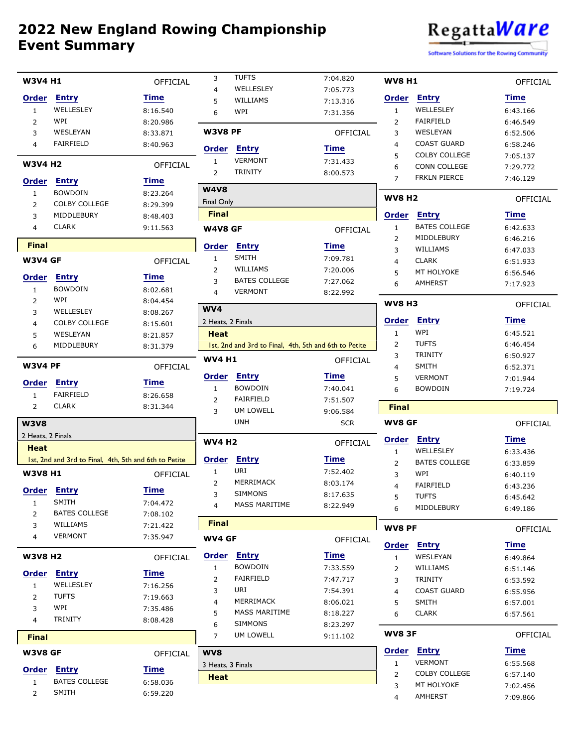

Software Solutions for the Rowing Community

| <b>W3V4 H1</b>    |                                                       | <b>OFFICIAL</b>      | 3                 | <b>TUFTS</b>                                          | 7:04.820             | <b>WV8 H1</b>  |                      | OFFICIAL        |
|-------------------|-------------------------------------------------------|----------------------|-------------------|-------------------------------------------------------|----------------------|----------------|----------------------|-----------------|
|                   |                                                       |                      | $\overline{4}$    | WELLESLEY                                             | 7:05.773             |                |                      |                 |
| <b>Order</b>      | <b>Entry</b>                                          | <b>Time</b>          | 5                 | WILLIAMS                                              | 7:13.316             | Order          | <b>Entry</b>         | <b>Time</b>     |
| $\mathbf{1}$      | WELLESLEY                                             | 8:16.540             | 6                 | WPI                                                   | 7:31.356             | $\mathbf{1}$   | WELLESLEY            | 6:43.166        |
| 2                 | WPI                                                   | 8:20.986             |                   |                                                       |                      | $\overline{2}$ | <b>FAIRFIELD</b>     | 6:46.549        |
| 3                 | <b>WESLEYAN</b>                                       | 8:33.871             | <b>W3V8 PF</b>    |                                                       | OFFICIAL             | 3              | WESLEYAN             | 6:52.506        |
| 4                 | <b>FAIRFIELD</b>                                      | 8:40.963             | Order             | <b>Entry</b>                                          | <b>Time</b>          | 4              | <b>COAST GUARD</b>   | 6:58.246        |
| <b>W3V4 H2</b>    |                                                       |                      | $\mathbf{1}$      | <b>VERMONT</b>                                        | 7:31.433             | 5              | <b>COLBY COLLEGE</b> | 7:05.137        |
|                   |                                                       | <b>OFFICIAL</b>      | 2                 | <b>TRINITY</b>                                        | 8:00.573             | 6              | <b>CONN COLLEGE</b>  | 7:29.772        |
| <b>Order</b>      | <b>Entry</b>                                          | <b>Time</b>          |                   |                                                       |                      | $\overline{7}$ | <b>FRKLN PIERCE</b>  | 7:46.129        |
| $\mathbf{1}$      | <b>BOWDOIN</b>                                        | 8:23.264             | <b>W4V8</b>       |                                                       |                      |                |                      |                 |
| 2                 | <b>COLBY COLLEGE</b>                                  | 8:29.399             | <b>Final Only</b> |                                                       |                      | <b>WV8 H2</b>  |                      | <b>OFFICIAL</b> |
| 3                 | MIDDLEBURY                                            | 8:48.403             | <b>Final</b>      |                                                       |                      | Order          | <b>Entry</b>         | <b>Time</b>     |
| 4                 | <b>CLARK</b>                                          | 9:11.563             | W4V8 GF           |                                                       | <b>OFFICIAL</b>      | $\mathbf{1}$   | <b>BATES COLLEGE</b> | 6:42.633        |
|                   |                                                       |                      |                   |                                                       |                      | $\overline{2}$ | MIDDLEBURY           | 6:46.216        |
| <b>Final</b>      |                                                       |                      | Order             | <b>Entry</b>                                          | <b>Time</b>          | 3              | WILLIAMS             | 6:47.033        |
| <b>W3V4 GF</b>    |                                                       | OFFICIAL             | $\mathbf{1}$      | <b>SMITH</b>                                          | 7:09.781             | 4              | <b>CLARK</b>         | 6:51.933        |
|                   |                                                       | <b>Time</b>          | 2                 | WILLIAMS                                              | 7:20.006             | 5              | MT HOLYOKE           | 6:56.546        |
| <b>Order</b>      | <b>Entry</b>                                          |                      | 3                 | <b>BATES COLLEGE</b>                                  | 7:27.062             | 6              | <b>AMHERST</b>       | 7:17.923        |
| $\mathbf{1}$      | <b>BOWDOIN</b>                                        | 8:02.681             | 4                 | <b>VERMONT</b>                                        | 8:22.992             |                |                      |                 |
| 2                 | WPI                                                   | 8:04.454             | WV4               |                                                       |                      | <b>WV8 H3</b>  |                      | OFFICIAL        |
| 3                 | WELLESLEY<br><b>COLBY COLLEGE</b>                     | 8:08.267             | 2 Heats, 2 Finals |                                                       |                      | Order          | <b>Entry</b>         | Time            |
| 4                 | WESLEYAN                                              | 8:15.601             | <b>Heat</b>       |                                                       |                      | $\mathbf{1}$   | WPI                  | 6:45.521        |
| 5                 | MIDDLEBURY                                            | 8:21.857             |                   | 1st, 2nd and 3rd to Final, 4th, 5th and 6th to Petite |                      | 2              | <b>TUFTS</b>         | 6:46.454        |
| 6                 |                                                       | 8:31.379             |                   |                                                       |                      | 3              | <b>TRINITY</b>       | 6:50.927        |
| <b>W3V4 PF</b>    |                                                       | OFFICIAL             | <b>WV4 H1</b>     |                                                       | OFFICIAL             | $\overline{4}$ | <b>SMITH</b>         | 6:52.371        |
|                   |                                                       |                      | Order             | <b>Entry</b>                                          | Time                 | 5              | <b>VERMONT</b>       | 7:01.944        |
| <b>Order</b>      | <b>Entry</b>                                          | Time                 | $\mathbf{1}$      | <b>BOWDOIN</b>                                        | 7:40.041             | 6              | <b>BOWDOIN</b>       | 7:19.724        |
| $\mathbf{1}$      | <b>FAIRFIELD</b>                                      | 8:26.658             |                   |                                                       |                      |                |                      |                 |
|                   |                                                       |                      |                   | <b>FAIRFIELD</b>                                      |                      |                |                      |                 |
| $\overline{2}$    | <b>CLARK</b>                                          | 8:31.344             | 2<br>3            | UM LOWELL                                             | 7:51.507<br>9:06.584 | <b>Final</b>   |                      |                 |
| <b>W3V8</b>       |                                                       |                      |                   | <b>UNH</b>                                            | <b>SCR</b>           | <b>WV8 GF</b>  |                      | OFFICIAL        |
|                   |                                                       |                      |                   |                                                       |                      |                |                      |                 |
| 2 Heats, 2 Finals |                                                       |                      | <b>WV4 H2</b>     |                                                       | <b>OFFICIAL</b>      | <b>Order</b>   | <b>Entry</b>         | Time            |
| <b>Heat</b>       |                                                       |                      |                   |                                                       |                      | $\mathbf{1}$   | WELLESLEY            | 6:33.436        |
|                   | 1st, 2nd and 3rd to Final, 4th, 5th and 6th to Petite |                      | <b>Order</b>      | <b>Entry</b>                                          | <b>Time</b>          | 2              | <b>BATES COLLEGE</b> | 6:33.859        |
| <b>W3V8 H1</b>    |                                                       | OFFICIAL             | $\mathbf{1}$      | URI                                                   | 7:52.402             | 3              | WPI                  | 6:40.119        |
|                   |                                                       |                      | 2                 | MERRIMACK                                             | 8:03.174             | 4              | <b>FAIRFIELD</b>     | 6:43.236        |
| 1                 | Order Entry<br><b>SMITH</b>                           | <b>Time</b>          | 3                 | SIMMONS                                               | 8:17.635             | 5              | <b>TUFTS</b>         | 6:45.642        |
| $\overline{2}$    | <b>BATES COLLEGE</b>                                  | 7:04.472             | 4                 | <b>MASS MARITIME</b>                                  | 8:22.949             | 6              | MIDDLEBURY           | 6:49.186        |
| 3                 | WILLIAMS                                              | 7:08.102<br>7:21.422 | <b>Final</b>      |                                                       |                      |                |                      |                 |
| 4                 | <b>VERMONT</b>                                        | 7:35.947             |                   |                                                       |                      | <b>WV8 PF</b>  |                      | OFFICIAL        |
|                   |                                                       |                      | WV4 GF            |                                                       | OFFICIAL             | <b>Order</b>   | <u>Entry</u>         | Time            |
| <b>W3V8 H2</b>    |                                                       | OFFICIAL             | Order             | <b>Entry</b>                                          | <b>Time</b>          | $\mathbf{1}$   | WESLEYAN             | 6:49.864        |
|                   |                                                       |                      | $\mathbf{1}$      | <b>BOWDOIN</b>                                        | 7:33.559             | 2              | WILLIAMS             | 6:51.146        |
| <b>Order</b>      | <b>Entry</b>                                          | <u>Time</u>          | 2                 | <b>FAIRFIELD</b>                                      | 7:47.717             | 3              | <b>TRINITY</b>       | 6:53.592        |
| $\mathbf{1}$      | WELLESLEY                                             | 7:16.256             | 3                 | URI                                                   | 7:54.391             | 4              | <b>COAST GUARD</b>   | 6:55.956        |
| $\overline{2}$    | <b>TUFTS</b>                                          | 7:19.663             | 4                 | MERRIMACK                                             | 8:06.021             | 5              | <b>SMITH</b>         | 6:57.001        |
| 3                 | WPI                                                   | 7:35.486             | 5                 | MASS MARITIME                                         | 8:18.227             | 6              | <b>CLARK</b>         | 6:57.561        |
| 4                 | <b>TRINITY</b>                                        | 8:08.428             | 6                 | <b>SIMMONS</b>                                        | 8:23.297             |                |                      |                 |
| <b>Final</b>      |                                                       |                      | $\overline{7}$    | UM LOWELL                                             | 9:11.102             | <b>WV83F</b>   |                      | OFFICIAL        |
| <b>W3V8 GF</b>    |                                                       | OFFICIAL             | WV8               |                                                       |                      | <b>Order</b>   | <b>Entry</b>         | <b>Time</b>     |
|                   |                                                       |                      | 3 Heats, 3 Finals |                                                       |                      | $\mathbf{1}$   | <b>VERMONT</b>       | 6:55.568        |
| <b>Order</b>      | <b>Entry</b>                                          | Time                 |                   |                                                       |                      | 2              | <b>COLBY COLLEGE</b> | 6:57.140        |
| $\mathbf{1}$      | <b>BATES COLLEGE</b>                                  | 6:58.036             | <b>Heat</b>       |                                                       |                      | 3              | MT HOLYOKE           | 7:02.456        |
| $\overline{2}$    | <b>SMITH</b>                                          | 6:59.220             |                   |                                                       |                      | 4              | AMHERST              | 7:09.866        |